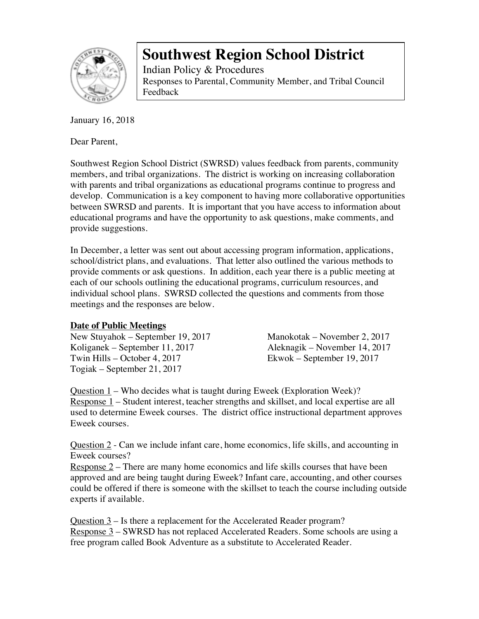

Indian Policy & Procedures Responses to Parental, Community Member, and Tribal Council Feedback

January 16, 2018

Dear Parent,

Southwest Region School District (SWRSD) values feedback from parents, community members, and tribal organizations. The district is working on increasing collaboration with parents and tribal organizations as educational programs continue to progress and develop. Communication is a key component to having more collaborative opportunities between SWRSD and parents. It is important that you have access to information about educational programs and have the opportunity to ask questions, make comments, and provide suggestions.

In December, a letter was sent out about accessing program information, applications, school/district plans, and evaluations. That letter also outlined the various methods to provide comments or ask questions. In addition, each year there is a public meeting at each of our schools outlining the educational programs, curriculum resources, and individual school plans. SWRSD collected the questions and comments from those meetings and the responses are below.

### **Date of Public Meetings**

New Stuyahok – September 19, 2017 Manokotak – November 2, 2017 Koliganek – September 11, 2017 Aleknagik – November 14, 2017 Twin Hills – October 4, 2017 Ekwok – September 19, 2017 Togiak – September 21, 2017

Question 1 – Who decides what is taught during Eweek (Exploration Week)? Response 1 – Student interest, teacher strengths and skillset, and local expertise are all used to determine Eweek courses. The district office instructional department approves Eweek courses.

Question 2 - Can we include infant care, home economics, life skills, and accounting in Eweek courses?

Response  $2$  – There are many home economics and life skills courses that have been approved and are being taught during Eweek? Infant care, accounting, and other courses could be offered if there is someone with the skillset to teach the course including outside experts if available.

Question 3 – Is there a replacement for the Accelerated Reader program? Response 3 – SWRSD has not replaced Accelerated Readers. Some schools are using a free program called Book Adventure as a substitute to Accelerated Reader.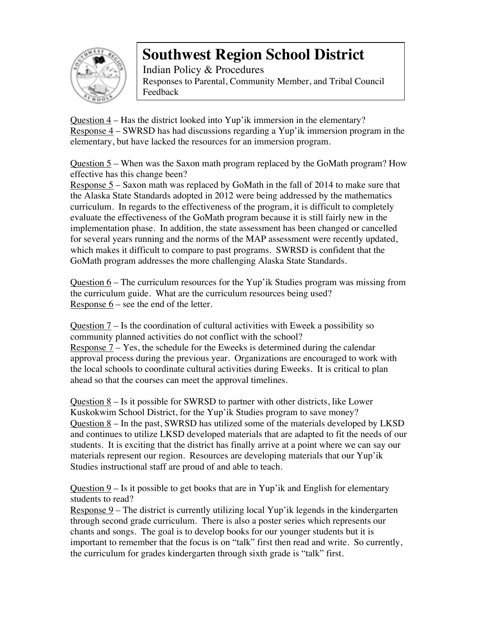

Indian Policy & Procedures Responses to Parental, Community Member, and Tribal Council Feedback

Question 4 – Has the district looked into Yup'ik immersion in the elementary? Response 4 – SWRSD has had discussions regarding a Yup'ik immersion program in the elementary, but have lacked the resources for an immersion program.

Question  $5$  – When was the Saxon math program replaced by the GoMath program? How effective has this change been?

Response 5 – Saxon math was replaced by GoMath in the fall of 2014 to make sure that the Alaska State Standards adopted in 2012 were being addressed by the mathematics curriculum. In regards to the effectiveness of the program, it is difficult to completely evaluate the effectiveness of the GoMath program because it is still fairly new in the implementation phase. In addition, the state assessment has been changed or cancelled for several years running and the norms of the MAP assessment were recently updated, which makes it difficult to compare to past programs. SWRSD is confident that the GoMath program addresses the more challenging Alaska State Standards.

Question  $6$  – The curriculum resources for the Yup' ik Studies program was missing from the curriculum guide. What are the curriculum resources being used? Response  $6$  – see the end of the letter.

Question  $7 -$  Is the coordination of cultural activities with Eweek a possibility so community planned activities do not conflict with the school? Response  $7 - Yes$ , the schedule for the Eweeks is determined during the calendar approval process during the previous year. Organizations are encouraged to work with the local schools to coordinate cultural activities during Eweeks. It is critical to plan ahead so that the courses can meet the approval timelines.

Question  $8 -$  Is it possible for SWRSD to partner with other districts, like Lower Kuskokwim School District, for the Yup'ik Studies program to save money? Question 8 – In the past, SWRSD has utilized some of the materials developed by LKSD and continues to utilize LKSD developed materials that are adapted to fit the needs of our students. It is exciting that the district has finally arrive at a point where we can say our materials represent our region. Resources are developing materials that our Yup'ik Studies instructional staff are proud of and able to teach.

Question  $9 -$  Is it possible to get books that are in Yup'ik and English for elementary students to read?

Response  $9$  – The district is currently utilizing local Yup'ik legends in the kindergarten through second grade curriculum. There is also a poster series which represents our chants and songs. The goal is to develop books for our younger students but it is important to remember that the focus is on "talk" first then read and write. So currently, the curriculum for grades kindergarten through sixth grade is "talk" first.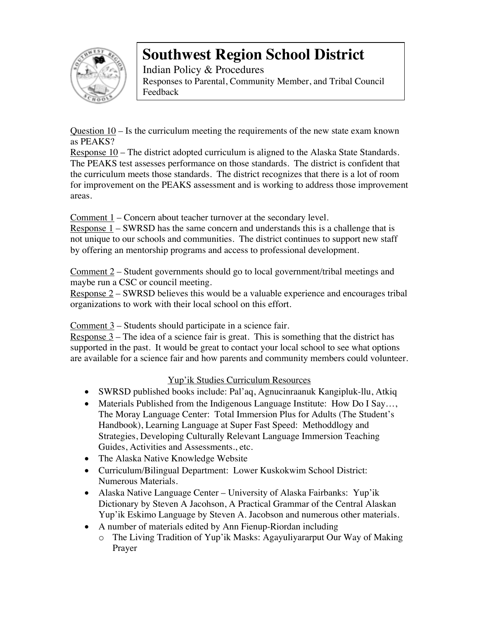

Indian Policy & Procedures Responses to Parental, Community Member, and Tribal Council Feedback

Question 10 – Is the curriculum meeting the requirements of the new state exam known as PEAKS?

Response 10 – The district adopted curriculum is aligned to the Alaska State Standards. The PEAKS test assesses performance on those standards. The district is confident that the curriculum meets those standards. The district recognizes that there is a lot of room for improvement on the PEAKS assessment and is working to address those improvement areas.

Comment  $1$  – Concern about teacher turnover at the secondary level.

Response 1 – SWRSD has the same concern and understands this is a challenge that is not unique to our schools and communities. The district continues to support new staff by offering an mentorship programs and access to professional development.

Comment 2 – Student governments should go to local government/tribal meetings and maybe run a CSC or council meeting.

Response 2 – SWRSD believes this would be a valuable experience and encourages tribal organizations to work with their local school on this effort.

Comment  $3$  – Students should participate in a science fair.

Response  $3$  – The idea of a science fair is great. This is something that the district has supported in the past. It would be great to contact your local school to see what options are available for a science fair and how parents and community members could volunteer.

### Yup'ik Studies Curriculum Resources

- SWRSD published books include: Pal'aq, Agnucinraanuk Kangipluk-Ilu, Atkiq
- Materials Published from the Indigenous Language Institute: How Do I Say..., The Moray Language Center: Total Immersion Plus for Adults (The Student's Handbook), Learning Language at Super Fast Speed: Methoddlogy and Strategies, Developing Culturally Relevant Language Immersion Teaching Guides, Activities and Assessments., etc.
- The Alaska Native Knowledge Website
- Curriculum/Bilingual Department: Lower Kuskokwim School District: Numerous Materials.
- Alaska Native Language Center University of Alaska Fairbanks: Yup'ik Dictionary by Steven A Jacohson, A Practical Grammar of the Central Alaskan Yup'ik Eskimo Language by Steven A. Jacobson and numerous other materials.
- A number of materials edited by Ann Fienup-Riordan including
	- o The Living Tradition of Yup'ik Masks: Agayuliyararput Our Way of Making Prayer